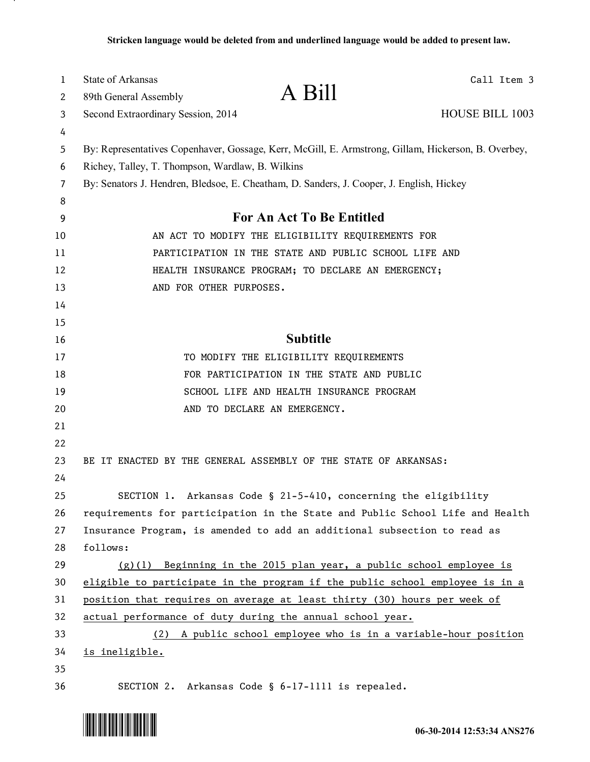| 1<br>2         | <b>State of Arkansas</b><br>89th General Assembly | A Bill                                                                                              | Call Item 3     |
|----------------|---------------------------------------------------|-----------------------------------------------------------------------------------------------------|-----------------|
|                |                                                   |                                                                                                     | HOUSE BILL 1003 |
| 3              | Second Extraordinary Session, 2014                |                                                                                                     |                 |
| 4<br>5         |                                                   | By: Representatives Copenhaver, Gossage, Kerr, McGill, E. Armstrong, Gillam, Hickerson, B. Overbey, |                 |
| 6              | Richey, Talley, T. Thompson, Wardlaw, B. Wilkins  |                                                                                                     |                 |
| $\overline{7}$ |                                                   | By: Senators J. Hendren, Bledsoe, E. Cheatham, D. Sanders, J. Cooper, J. English, Hickey            |                 |
| 8              |                                                   |                                                                                                     |                 |
| 9              |                                                   | <b>For An Act To Be Entitled</b>                                                                    |                 |
| 10             |                                                   | AN ACT TO MODIFY THE ELIGIBILITY REQUIREMENTS FOR                                                   |                 |
| 11             |                                                   | PARTICIPATION IN THE STATE AND PUBLIC SCHOOL LIFE AND                                               |                 |
| 12             |                                                   | HEALTH INSURANCE PROGRAM; TO DECLARE AN EMERGENCY;                                                  |                 |
| 13             | AND FOR OTHER PURPOSES.                           |                                                                                                     |                 |
| 14             |                                                   |                                                                                                     |                 |
| 15             |                                                   |                                                                                                     |                 |
| 16             |                                                   | <b>Subtitle</b>                                                                                     |                 |
| 17             |                                                   | TO MODIFY THE ELIGIBILITY REQUIREMENTS                                                              |                 |
| 18             |                                                   | FOR PARTICIPATION IN THE STATE AND PUBLIC                                                           |                 |
| 19             |                                                   | SCHOOL LIFE AND HEALTH INSURANCE PROGRAM                                                            |                 |
| 20             |                                                   | AND TO DECLARE AN EMERGENCY.                                                                        |                 |
| 21             |                                                   |                                                                                                     |                 |
| 22             |                                                   |                                                                                                     |                 |
| 23             |                                                   | BE IT ENACTED BY THE GENERAL ASSEMBLY OF THE STATE OF ARKANSAS:                                     |                 |
| 24             |                                                   |                                                                                                     |                 |
| 25             |                                                   | SECTION 1. Arkansas Code § 21-5-410, concerning the eligibility                                     |                 |
| 26             |                                                   | requirements for participation in the State and Public School Life and Health                       |                 |
| 27             |                                                   | Insurance Program, is amended to add an additional subsection to read as                            |                 |
| 28             | follows:                                          |                                                                                                     |                 |
| 29             | (g)(1)                                            | Beginning in the 2015 plan year, a public school employee is                                        |                 |
| 30             |                                                   | eligible to participate in the program if the public school employee is in a                        |                 |
| 31             |                                                   | position that requires on average at least thirty (30) hours per week of                            |                 |
| 32             |                                                   | actual performance of duty during the annual school year.                                           |                 |
| 33             |                                                   | (2) A public school employee who is in a variable-hour position                                     |                 |
| 34             | is ineligible.                                    |                                                                                                     |                 |
| 35             |                                                   |                                                                                                     |                 |
| 36             |                                                   | SECTION 2. Arkansas Code § 6-17-1111 is repealed.                                                   |                 |



л.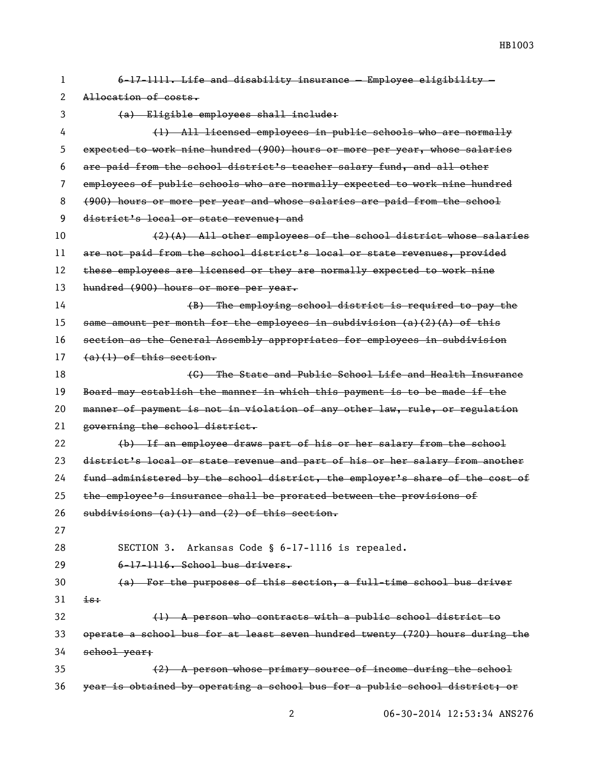| 1. | 6-17-1111. Life and disability insurance - Employee eligibility -             |  |  |
|----|-------------------------------------------------------------------------------|--|--|
| 2  | Allocation of costs.                                                          |  |  |
| 3  | (a) Eligible employees shall include:                                         |  |  |
| 4  | (1) All licensed employees in public schools who are normally                 |  |  |
| 5  | expected to work nine hundred (900) hours or more per year, whose salaries    |  |  |
| 6  | are paid from the school district's teacher salary fund, and all other        |  |  |
| 7  | employees of public schools who are normally expected to work nine hundred    |  |  |
| 8  | (900) hours or more per year and whose salaries are paid from the school      |  |  |
| 9  | district's local or state revenue; and                                        |  |  |
| 10 | $(2)$ (A) All other employees of the school district whose salaries           |  |  |
| 11 | are not paid from the school district's local or state revenues, provided     |  |  |
| 12 | these employees are licensed or they are normally expected to work nine       |  |  |
| 13 | hundred (900) hours or more per year.                                         |  |  |
| 14 | (B) The employing school district is required to pay the                      |  |  |
| 15 | same amount per month for the employees in subdivision $(a)(2)(A)$ of this    |  |  |
| 16 | section as the General Assembly appropriates for employees in subdivision     |  |  |
| 17 | $(a)(1)$ of this section.                                                     |  |  |
| 18 | (C) The State and Public School Life and Health Insurance                     |  |  |
| 19 | Board may establish the manner in which this payment is to be made if the     |  |  |
| 20 | manner of payment is not in violation of any other law, rule, or regulation   |  |  |
| 21 | governing the school district.                                                |  |  |
| 22 | (b) If an employee draws part of his or her salary from the school            |  |  |
| 23 | district's local or state revenue and part of his or her salary from another  |  |  |
| 24 | fund administered by the school district, the employer's share of the cost of |  |  |
| 25 | the employee's insurance shall be prorated between the provisions of          |  |  |
| 26 | $subdivisions (a)(1) and (2) of this section.$                                |  |  |
| 27 |                                                                               |  |  |
| 28 | SECTION 3. Arkansas Code § 6-17-1116 is repealed.                             |  |  |
| 29 | $6-17-1116$ . School bus drivers.                                             |  |  |
| 30 | (a) For the purposes of this section, a full-time school bus driver           |  |  |
| 31 | $i s$ :                                                                       |  |  |
| 32 | (1) A person who contracts with a public school district to                   |  |  |
| 33 | operate a school bus for at least seven hundred twenty (720) hours during the |  |  |
| 34 | school year;                                                                  |  |  |
| 35 | (2) A person whose primary source of income during the school                 |  |  |
| 36 | year is obtained by operating a school bus for a public school district; or   |  |  |